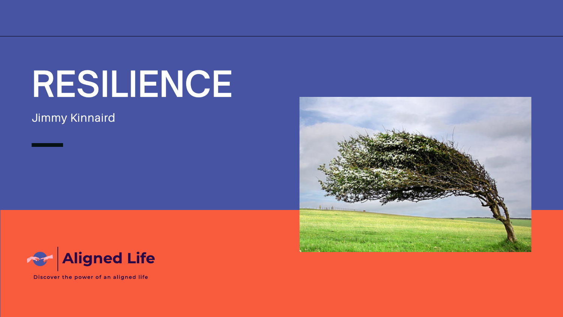# RESILIENCE

Jimmy Kinnaird



Discover the power of an aligned life



Annehm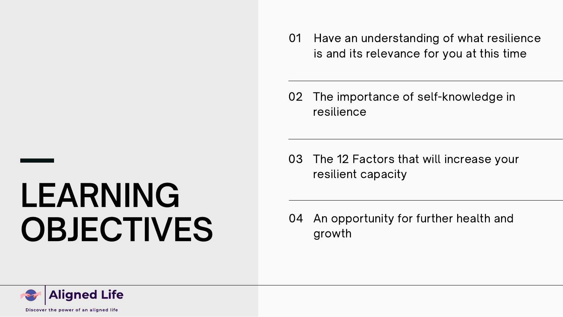01 Have an understanding of what resilience is and its relevance for you at this time

02 The importance of self-knowledge in resilience

03 The 12 Factors that will increase your resilient capacity

# LEARNING OBJECTIVES



Discover the power of an aligned life

04 An opportunity for further health and

growth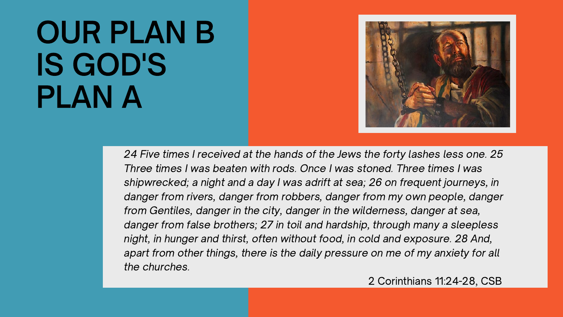24 Five times I received at the hands of the Jews the forty lashes less one. 25 Three times I was beaten with rods. Once I was stoned. Three times I was shipwrecked; a night and a day I was adrift at sea; 26 on frequent journeys, in danger from rivers, danger from robbers, danger from my own people, danger from Gentiles, danger in the city, danger in the wilderness, danger at sea, danger from false brothers; 27 in toil and hardship, through many a sleepless night, in hunger and thirst, often without food, in cold and exposure. 28 And, apart from other things, there is the daily pressure on me of my anxiety for all the churches.



2 Corinthians 11:24-28, CSB

## OUR PLAN B IS GOD'S PLAN A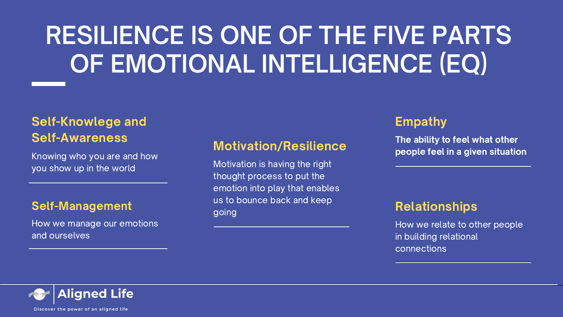Knowing who you are and how you show up in the world

### Self-Knowlege and Self-Awareness

How we manage our emotions and ourselves

### Self-Management

The ability to feel what other people feel in a given situation

Motivation is having the right thought process to put the emotion into play that enables us to bounce back and keep going



Discover the power of an aligned life

### Motivation/Resilience

### Empathy

How we relate to other people in building relational connections

### Relationships

## RESILIENCE IS ONE OF THE FIVE PARTS OF EMOTIONAL INTELLIGENCE (EQ)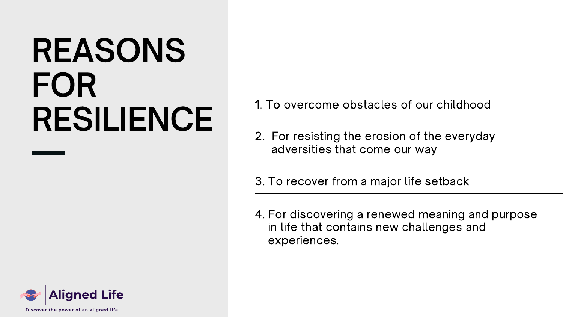# REASONS FOR RESILIENCE

### 1. To overcome obstacles of our childhood

2. For resisting the erosion of the everyday adversities that come our way

3. To recover from a major life setback

4. For discovering a renewed meaning and purpose in life that contains new challenges and

- 
- 
- 
- experiences.



Discover the power of an aligned life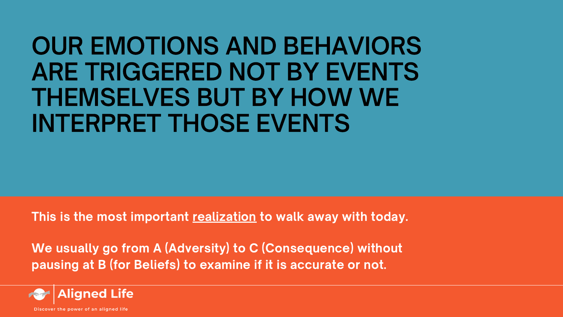We usually go from A (Adversity) to C (Consequence) without pausing at B (for Beliefs) to examine if it is accurate or not.



Discover the power of an aligned life

### OUR EMOTIONS AND BEHAVIORS ARE TRIGGERED NOT BY EVENTS THEMSELVES BUT BY HOW WE INTERPRET THOSE EVENTS

This is the most important realization to walk away with today.